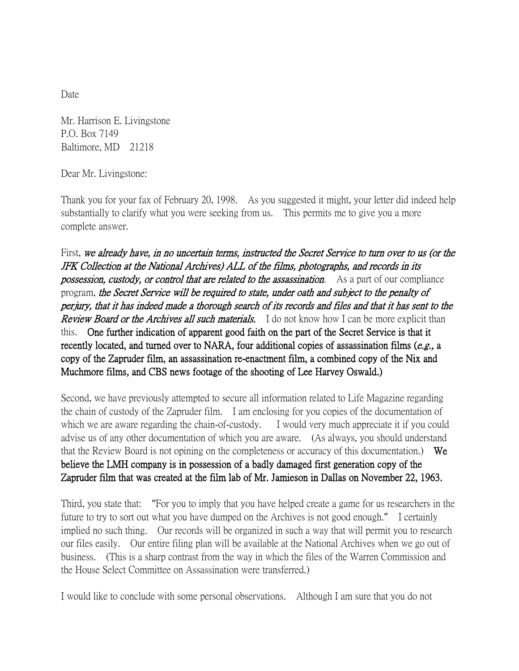Date

Mr. Harrison E. Livingstone P.O. Box 7149 Baltimore, MD 21218

Dear Mr. Livingstone:

Thank you for your fax of February 20, 1998. As you suggested it might, your letter did indeed help substantially to clarify what you were seeking from us. This permits me to give you a more complete answer.

First, we already have, in no uncertain terms, instructed the Secret Service to turn over to us (or the JFK Collection at the National Archives) ALL of the films, photographs, and records in its possession, custody, or control that are related to the assassination. As a part of our compliance program, the Secret Service will be required to state, under oath and subject to the penalty of perjury, that it has indeed made a thorough search of its records and files and that it has sent to the **Review Board or the Archives all such materials.** I do not know how I can be more explicit than this. One further indication of apparent good faith on the part of the Secret Service is that it recently located, and turned over to NARA, four additional copies of assassination films ( $e.g.,$  a copy of the Zapruder film, an assassination re-enactment film, a combined copy of the Nix and Muchmore films, and CBS news footage of the shooting of Lee Harvey Oswald.)

Second, we have previously attempted to secure all information related to Life Magazine regarding the chain of custody of the Zapruder film. I am enclosing for you copies of the documentation of which we are aware regarding the chain-of-custody. I would very much appreciate it if you could advise us of any other documentation of which you are aware. (As always, you should understand that the Review Board is not opining on the completeness or accuracy of this documentation.) We believe the LMH company is in possession of a badly damaged first generation copy of the Zapruder film that was created at the film lab of Mr. Jamieson in Dallas on November 22, 1963.

Third, you state that: "For you to imply that you have helped create a game for us researchers in the future to try to sort out what you have dumped on the Archives is not good enough." I certainly implied no such thing. Our records will be organized in such a way that will permit you to research our files easily. Our entire filing plan will be available at the National Archives when we go out of business. (This is a sharp contrast from the way in which the files of the Warren Commission and the House Select Committee on Assassination were transferred.)

I would like to conclude with some personal observations. Although I am sure that you do not